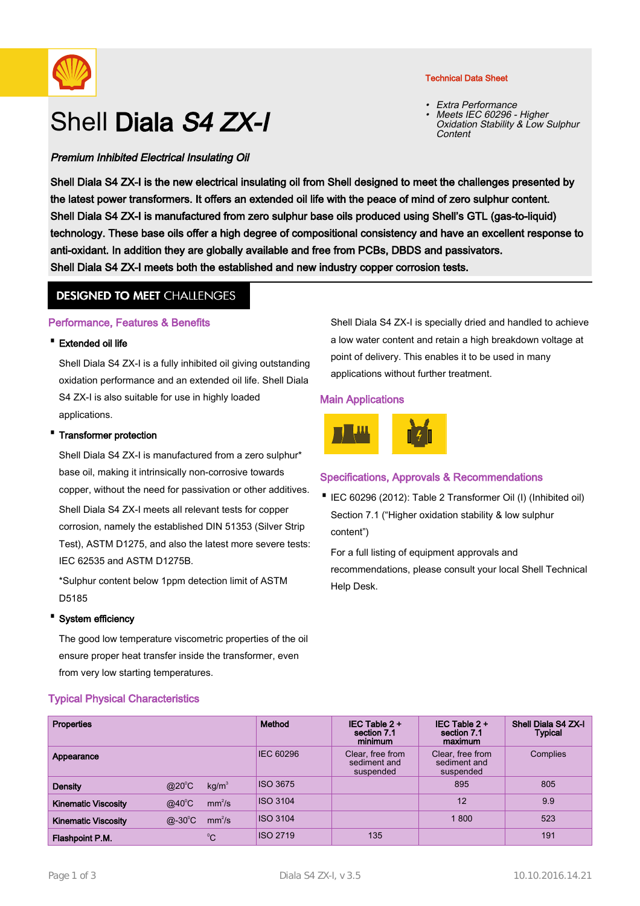

# Shell Diala S4 ZX-I

# Premium Inhibited Electrical Insulating Oil

#### Technical Data Sheet

• Extra Performance Meets IEC 60296 - Higher Oxidation Stability & Low Sulphur Content •

Shell Diala S4 ZX-I is the new electrical insulating oil from Shell designed to meet the challenges presented by the latest power transformers. It offers an extended oil life with the peace of mind of zero sulphur content. Shell Diala S4 ZX-I is manufactured from zero sulphur base oils produced using Shell's GTL (gas-to-liquid) technology. These base oils offer a high degree of compositional consistency and have an excellent response to anti-oxidant. In addition they are globally available and free from PCBs, DBDS and passivators. Shell Diala S4 ZX-I meets both the established and new industry copper corrosion tests.

# **DESIGNED TO MEET CHALLENGES**

# Performance, Features & Benefits

### · Extended oil life

Shell Diala S4 ZX-I is a fully inhibited oil giving outstanding oxidation performance and an extended oil life. Shell Diala S4 ZX-I is also suitable for use in highly loaded applications.

#### **Transformer protection**

Shell Diala S4 ZX-I is manufactured from a zero sulphur\* base oil, making it intrinsically non-corrosive towards copper, without the need for passivation or other additives. Shell Diala S4 ZX-I meets all relevant tests for copper corrosion, namely the established DIN 51353 (Silver Strip Test), ASTM D1275, and also the latest more severe tests: IEC 62535 and ASTM D1275B.

\*Sulphur content below 1ppm detection limit of ASTM D5185

#### · System efficiency

The good low temperature viscometric properties of the oil ensure proper heat transfer inside the transformer, even from very low starting temperatures.

# Typical Physical Characteristics

Shell Diala S4 ZX-I is specially dried and handled to achieve a low water content and retain a high breakdown voltage at point of delivery. This enables it to be used in many applications without further treatment.

#### Main Applications



# Specifications, Approvals & Recommendations

IEC 60296 (2012): Table 2 Transformer Oil (I) (Inhibited oil) · Section 7.1 ("Higher oxidation stability & low sulphur content")

For a full listing of equipment approvals and recommendations, please consult your local Shell Technical Help Desk.

| <b>Properties</b>          |                                       | Method          | IEC Table $2 +$<br>section 7.1<br>minimum     | IEC Table $2 +$<br>section 7.1<br>maximum     | Shell Diala S4 ZX-I<br><b>Typical</b> |
|----------------------------|---------------------------------------|-----------------|-----------------------------------------------|-----------------------------------------------|---------------------------------------|
| Appearance                 |                                       | IEC 60296       | Clear, free from<br>sediment and<br>suspended | Clear, free from<br>sediment and<br>suspended | Complies                              |
| <b>Density</b>             | $@20^{\circ}C$<br>kg/m <sup>3</sup>   | <b>ISO 3675</b> |                                               | 895                                           | 805                                   |
| <b>Kinematic Viscosity</b> | $@40^{\circ}$ C<br>mm <sup>2</sup> /s | <b>ISO 3104</b> |                                               | 12                                            | 9.9                                   |
| <b>Kinematic Viscosity</b> | $@-30^{\circ}C$<br>mm <sup>2</sup> /s | <b>ISO 3104</b> |                                               | 1800                                          | 523                                   |
| Flashpoint P.M.            | $^{\circ}$ C                          | <b>ISO 2719</b> | 135                                           |                                               | 191                                   |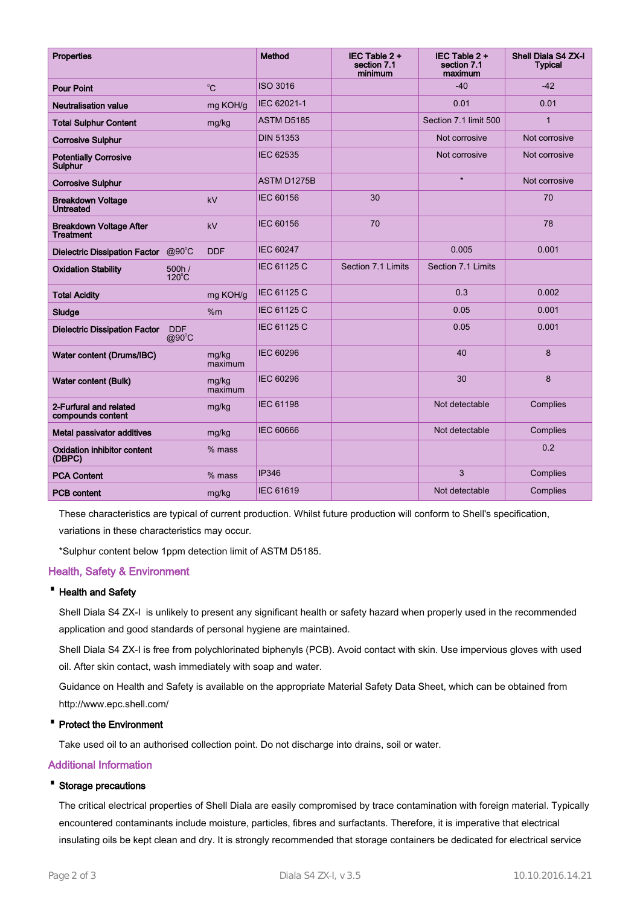| <b>Properties</b>                                  |                               |                  | Method             | IEC Table $2 +$<br>section 7.1<br>minimum | IEC Table 2 +<br>section 7.1<br>maximum | Shell Diala S4 ZX-I<br><b>Typical</b> |
|----------------------------------------------------|-------------------------------|------------------|--------------------|-------------------------------------------|-----------------------------------------|---------------------------------------|
| <b>Pour Point</b>                                  |                               | $^0C$            | <b>ISO 3016</b>    |                                           | $-40$                                   | $-42$                                 |
| <b>Neutralisation value</b>                        |                               | mg KOH/g         | IEC 62021-1        |                                           | 0.01                                    | 0.01                                  |
| <b>Total Sulphur Content</b>                       |                               | mg/kg            | <b>ASTM D5185</b>  |                                           | Section 7.1 limit 500                   | $\overline{1}$                        |
| <b>Corrosive Sulphur</b>                           |                               |                  | <b>DIN 51353</b>   |                                           | Not corrosive                           | Not corrosive                         |
| <b>Potentially Corrosive</b><br><b>Sulphur</b>     |                               |                  | IEC 62535          |                                           | Not corrosive                           | Not corrosive                         |
| <b>Corrosive Sulphur</b>                           |                               |                  | <b>ASTM D1275B</b> |                                           | $\star$                                 | Not corrosive                         |
| <b>Breakdown Voltage</b><br><b>Untreated</b>       |                               | kV               | <b>IEC 60156</b>   | 30                                        |                                         | 70                                    |
| <b>Breakdown Voltage After</b><br><b>Treatment</b> |                               | kV               | <b>IEC 60156</b>   | 70                                        |                                         | 78                                    |
| <b>Dielectric Dissipation Factor</b>               | $@90^{\circ}C$                | <b>DDF</b>       | <b>IEC 60247</b>   |                                           | 0.005                                   | 0.001                                 |
| <b>Oxidation Stability</b>                         | 500h/<br>$120^{\circ}$ C      |                  | <b>IEC 61125 C</b> | Section 7.1 Limits                        | Section 7.1 Limits                      |                                       |
| <b>Total Acidity</b>                               |                               | mg KOH/g         | IEC 61125 C        |                                           | 0.3                                     | 0.002                                 |
| Sludge                                             |                               | %m               | <b>IEC 61125 C</b> |                                           | 0.05                                    | 0.001                                 |
| <b>Dielectric Dissipation Factor</b>               | <b>DDF</b><br>$@90^{\circ}$ C |                  | IEC 61125 C        |                                           | 0.05                                    | 0.001                                 |
| Water content (Drums/IBC)                          |                               | mg/kg<br>maximum | <b>IEC 60296</b>   |                                           | 40                                      | 8                                     |
| Water content (Bulk)                               |                               | mg/kg<br>maximum | <b>IEC 60296</b>   |                                           | 30                                      | 8                                     |
| 2-Furfural and related<br>compounds content        |                               | mg/kg            | <b>IEC 61198</b>   |                                           | Not detectable                          | Complies                              |
| Metal passivator additives                         |                               | mg/kg            | <b>IEC 60666</b>   |                                           | Not detectable                          | Complies                              |
| <b>Oxidation inhibitor content</b><br>(DBPC)       |                               | $%$ mass         |                    |                                           |                                         | 0.2                                   |
| <b>PCA Content</b>                                 |                               | $%$ mass         | <b>IP346</b>       |                                           | 3                                       | Complies                              |
| <b>PCB content</b>                                 |                               | mg/kg            | <b>IEC 61619</b>   |                                           | Not detectable                          | Complies                              |

These characteristics are typical of current production. Whilst future production will conform to Shell's specification, variations in these characteristics may occur.

\*Sulphur content below 1ppm detection limit of ASTM D5185.

#### Health, Safety & Environment

#### · Health and Safety

Shell Diala S4 ZX-I is unlikely to present any significant health or safety hazard when properly used in the recommended application and good standards of personal hygiene are maintained.

Shell Diala S4 ZX-I is free from polychlorinated biphenyls (PCB). Avoid contact with skin. Use impervious gloves with used oil. After skin contact, wash immediately with soap and water.

Guidance on Health and Safety is available on the appropriate Material Safety Data Sheet, which can be obtained from http://www.epc.shell.com/

#### · Protect the Environment

Take used oil to an authorised collection point. Do not discharge into drains, soil or water.

#### Additional Information

#### · Storage precautions

The critical electrical properties of Shell Diala are easily compromised by trace contamination with foreign material. Typically encountered contaminants include moisture, particles, fibres and surfactants. Therefore, it is imperative that electrical insulating oils be kept clean and dry. It is strongly recommended that storage containers be dedicated for electrical service